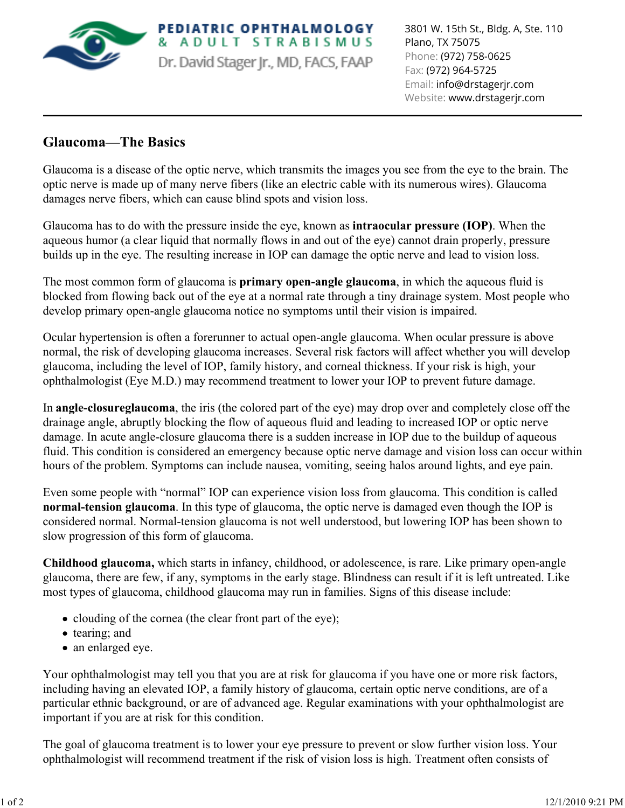

**PEDIATRIC OPHTHALMOLOGY** ADULT STRABISMUS Dr. David Stager Jr., MD, FACS, FAAP

3801 W. 15th St., Bldg. A, Ste. 110 Plano, TX 75075 Phone: (972) 758-0625 Fax: (972) 964-5725 Email: info@drstagerjr.com Website: www.drstagerjr.com

## **Glaucoma—The Basics**

Glaucoma is a disease of the optic nerve, which transmits the images you see from the eye to the brain. The optic nerve is made up of many nerve fibers (like an electric cable with its numerous wires). Glaucoma damages nerve fibers, which can cause blind spots and vision loss.

Glaucoma has to do with the pressure inside the eye, known as **intraocular pressure (IOP)**. When the aqueous humor (a clear liquid that normally flows in and out of the eye) cannot drain properly, pressure builds up in the eye. The resulting increase in IOP can damage the optic nerve and lead to vision loss.

The most common form of glaucoma is **primary open-angle glaucoma**, in which the aqueous fluid is blocked from flowing back out of the eye at a normal rate through a tiny drainage system. Most people who develop primary open-angle glaucoma notice no symptoms until their vision is impaired.

Ocular hypertension is often a forerunner to actual open-angle glaucoma. When ocular pressure is above normal, the risk of developing glaucoma increases. Several risk factors will affect whether you will develop glaucoma, including the level of IOP, family history, and corneal thickness. If your risk is high, your ophthalmologist (Eye M.D.) may recommend treatment to lower your IOP to prevent future damage.

In **angle-closureglaucoma**, the iris (the colored part of the eye) may drop over and completely close off the drainage angle, abruptly blocking the flow of aqueous fluid and leading to increased IOP or optic nerve damage. In acute angle-closure glaucoma there is a sudden increase in IOP due to the buildup of aqueous fluid. This condition is considered an emergency because optic nerve damage and vision loss can occur within hours of the problem. Symptoms can include nausea, vomiting, seeing halos around lights, and eye pain.

Even some people with "normal" IOP can experience vision loss from glaucoma. This condition is called **normal-tension glaucoma**. In this type of glaucoma, the optic nerve is damaged even though the IOP is considered normal. Normal-tension glaucoma is not well understood, but lowering IOP has been shown to slow progression of this form of glaucoma.

**Childhood glaucoma,** which starts in infancy, childhood, or adolescence, is rare. Like primary open-angle glaucoma, there are few, if any, symptoms in the early stage. Blindness can result if it is left untreated. Like most types of glaucoma, childhood glaucoma may run in families. Signs of this disease include:

- clouding of the cornea (the clear front part of the eye);
- tearing; and
- an enlarged eye.

Your ophthalmologist may tell you that you are at risk for glaucoma if you have one or more risk factors, including having an elevated IOP, a family history of glaucoma, certain optic nerve conditions, are of a particular ethnic background, or are of advanced age. Regular examinations with your ophthalmologist are important if you are at risk for this condition.

The goal of glaucoma treatment is to lower your eye pressure to prevent or slow further vision loss. Your ophthalmologist will recommend treatment if the risk of vision loss is high. Treatment often consists of